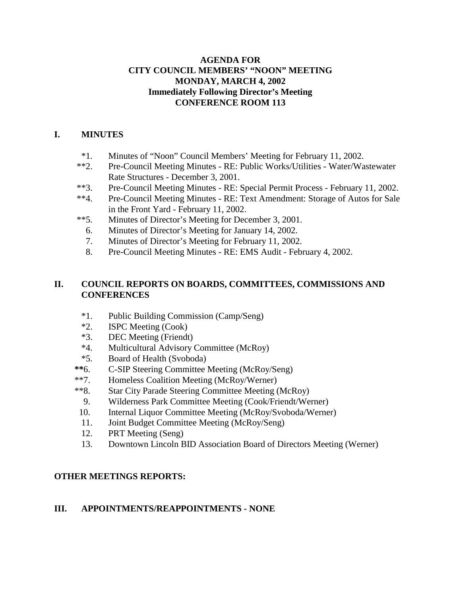## **AGENDA FOR CITY COUNCIL MEMBERS' "NOON" MEETING MONDAY, MARCH 4, 2002 Immediately Following Director's Meeting CONFERENCE ROOM 113**

## **I. MINUTES**

- \*1. Minutes of "Noon" Council Members' Meeting for February 11, 2002.
- \*\*2. Pre-Council Meeting Minutes RE: Public Works/Utilities Water/Wastewater Rate Structures - December 3, 2001.
- \*\*3. Pre-Council Meeting Minutes RE: Special Permit Process February 11, 2002.
- \*\*4. Pre-Council Meeting Minutes RE: Text Amendment: Storage of Autos for Sale in the Front Yard - February 11, 2002.
- \*\*5. Minutes of Director's Meeting for December 3, 2001.
	- 6. Minutes of Director's Meeting for January 14, 2002.
	- 7. Minutes of Director's Meeting for February 11, 2002.
	- 8. Pre-Council Meeting Minutes RE: EMS Audit February 4, 2002.

## **II. COUNCIL REPORTS ON BOARDS, COMMITTEES, COMMISSIONS AND CONFERENCES**

- \*1. Public Building Commission (Camp/Seng)
- \*2. ISPC Meeting (Cook)
- \*3. DEC Meeting (Friendt)
- \*4. Multicultural Advisory Committee (McRoy)
- \*5. Board of Health (Svoboda)
- **\*\***6. C-SIP Steering Committee Meeting (McRoy/Seng)
- \*\*7. Homeless Coalition Meeting (McRoy/Werner)
- \*\*8. Star City Parade Steering Committee Meeting (McRoy)
	- 9. Wilderness Park Committee Meeting (Cook/Friendt/Werner)
- 10. Internal Liquor Committee Meeting (McRoy/Svoboda/Werner)
- 11. Joint Budget Committee Meeting (McRoy/Seng)
- 12. PRT Meeting (Seng)
- 13. Downtown Lincoln BID Association Board of Directors Meeting (Werner)

# **OTHER MEETINGS REPORTS:**

#### **III. APPOINTMENTS/REAPPOINTMENTS - NONE**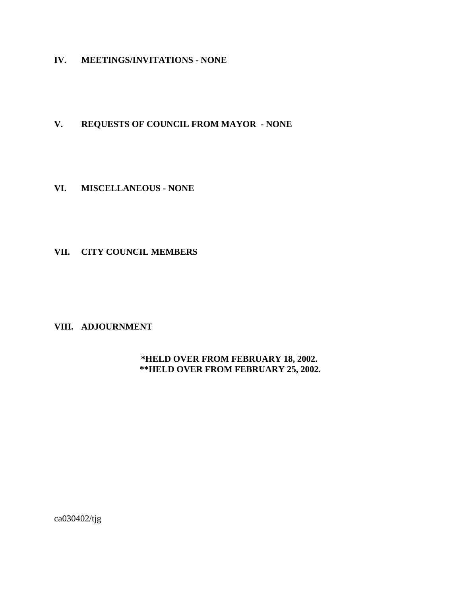**IV. MEETINGS/INVITATIONS - NONE**

## **V. REQUESTS OF COUNCIL FROM MAYOR - NONE**

#### **VI. MISCELLANEOUS - NONE**

#### **VII. CITY COUNCIL MEMBERS**

## **VIII. ADJOURNMENT**

#### **\*HELD OVER FROM FEBRUARY 18, 2002. \*\*HELD OVER FROM FEBRUARY 25, 2002.**

ca030402/tjg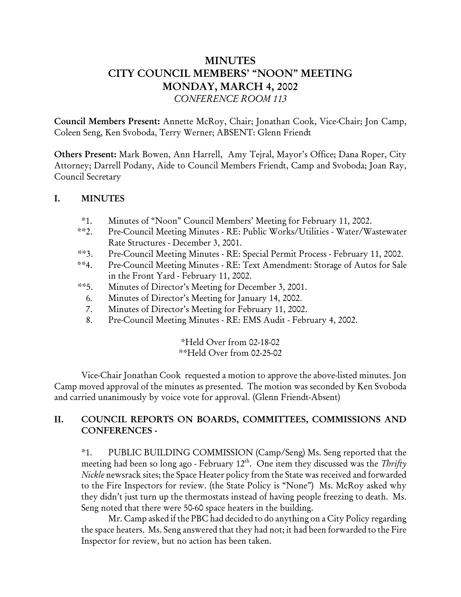# MINUTES CITY COUNCIL MEMBERS' "NOON" MEETING MONDAY, MARCH 4, 2002 *CONFERENCE ROOM 113*

Council Members Present: Annette McRoy, Chair; Jonathan Cook, Vice-Chair; Jon Camp, Coleen Seng, Ken Svoboda, Terry Werner; ABSENT: Glenn Friendt

Others Present: Mark Bowen, Ann Harrell, Amy Tejral, Mayor's Office; Dana Roper, City Attorney; Darrell Podany, Aide to Council Members Friendt, Camp and Svoboda; Joan Ray, Council Secretary

# I. MINUTES

- \*1. Minutes of "Noon" Council Members' Meeting for February 11, 2002.
- \*\*2. Pre-Council Meeting Minutes RE: Public Works/Utilities Water/Wastewater Rate Structures - December 3, 2001.
- \*\*3. Pre-Council Meeting Minutes RE: Special Permit Process February 11, 2002.
- \*\*4. Pre-Council Meeting Minutes RE: Text Amendment: Storage of Autos for Sale in the Front Yard - February 11, 2002.
- \*\*5. Minutes of Director's Meeting for December 3, 2001.
	- 6. Minutes of Director's Meeting for January 14, 2002.
	- 7. Minutes of Director's Meeting for February 11, 2002.
	- 8. Pre-Council Meeting Minutes RE: EMS Audit February 4, 2002.

#### \*Held Over from 02-18-02 \*\*Held Over from 02-25-02

Vice-Chair Jonathan Cook requested a motion to approve the above-listed minutes. Jon Camp moved approval of the minutes as presented. The motion was seconded by Ken Svoboda and carried unanimously by voice vote for approval. (Glenn Friendt-Absent)

# II. COUNCIL REPORTS ON BOARDS, COMMITTEES, COMMISSIONS AND CONFERENCES -

\*1. PUBLIC BUILDING COMMISSION (Camp/Seng) Ms. Seng reported that the meeting had been so long ago - February 12<sup>th</sup>. One item they discussed was the *Thrifty Nickle* newsrack sites; the Space Heater policy from the State was received and forwarded to the Fire Inspectors for review. (the State Policy is "None") Ms. McRoy asked why they didn't just turn up the thermostats instead of having people freezing to death. Ms. Seng noted that there were 50-60 space heaters in the building.

Mr. Camp asked if the PBC had decided to do anything on a City Policy regarding the space heaters. Ms. Seng answered that they had not; it had been forwarded to the Fire Inspector for review, but no action has been taken.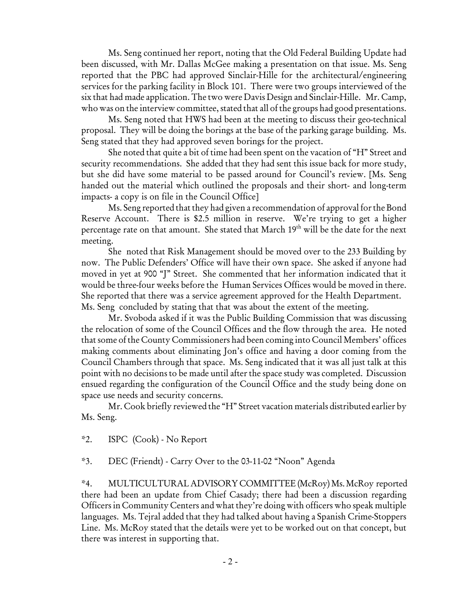Ms. Seng continued her report, noting that the Old Federal Building Update had been discussed, with Mr. Dallas McGee making a presentation on that issue. Ms. Seng reported that the PBC had approved Sinclair-Hille for the architectural/engineering services for the parking facility in Block 101. There were two groups interviewed of the six that had made application. The two were Davis Design and Sinclair-Hille. Mr. Camp, who was on the interview committee, stated that all of the groups had good presentations.

Ms. Seng noted that HWS had been at the meeting to discuss their geo-technical proposal. They will be doing the borings at the base of the parking garage building. Ms. Seng stated that they had approved seven borings for the project.

She noted that quite a bit of time had been spent on the vacation of "H" Street and security recommendations. She added that they had sent this issue back for more study, but she did have some material to be passed around for Council's review. [Ms. Seng handed out the material which outlined the proposals and their short- and long-term impacts- a copy is on file in the Council Office]

Ms. Seng reported that they had given a recommendation of approval for the Bond Reserve Account. There is \$2.5 million in reserve. We're trying to get a higher percentage rate on that amount. She stated that March 19<sup>th</sup> will be the date for the next meeting.

She noted that Risk Management should be moved over to the 233 Building by now. The Public Defenders' Office will have their own space. She asked if anyone had moved in yet at 900 "J" Street. She commented that her information indicated that it would be three-four weeks before the Human Services Offices would be moved in there. She reported that there was a service agreement approved for the Health Department. Ms. Seng concluded by stating that that was about the extent of the meeting.

Mr. Svoboda asked if it was the Public Building Commission that was discussing the relocation of some of the Council Offices and the flow through the area. He noted that some of the County Commissioners had been coming into Council Members' offices making comments about eliminating Jon's office and having a door coming from the Council Chambers through that space. Ms. Seng indicated that it was all just talk at this point with no decisions to be made until after the space study was completed. Discussion ensued regarding the configuration of the Council Office and the study being done on space use needs and security concerns.

Mr. Cook briefly reviewed the "H" Street vacation materials distributed earlier by Ms. Seng.

\*2. ISPC (Cook) - No Report

\*3. DEC (Friendt) - Carry Over to the 03-11-02 "Noon" Agenda

\*4. MULTICULTURAL ADVISORY COMMITTEE (McRoy) Ms. McRoy reported there had been an update from Chief Casady; there had been a discussion regarding Officers in Community Centers and what they're doing with officers who speak multiple languages. Ms. Tejral added that they had talked about having a Spanish Crime-Stoppers Line. Ms. McRoy stated that the details were yet to be worked out on that concept, but there was interest in supporting that.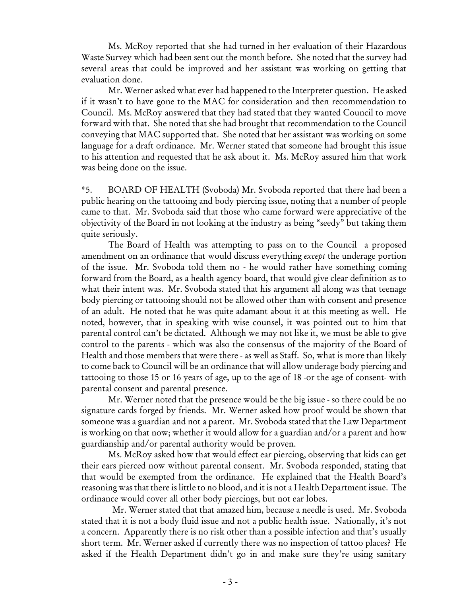Ms. McRoy reported that she had turned in her evaluation of their Hazardous Waste Survey which had been sent out the month before. She noted that the survey had several areas that could be improved and her assistant was working on getting that evaluation done.

Mr. Werner asked what ever had happened to the Interpreter question. He asked if it wasn't to have gone to the MAC for consideration and then recommendation to Council. Ms. McRoy answered that they had stated that they wanted Council to move forward with that. She noted that she had brought that recommendation to the Council conveying that MAC supported that. She noted that her assistant was working on some language for a draft ordinance. Mr. Werner stated that someone had brought this issue to his attention and requested that he ask about it. Ms. McRoy assured him that work was being done on the issue.

\*5. BOARD OF HEALTH (Svoboda) Mr. Svoboda reported that there had been a public hearing on the tattooing and body piercing issue, noting that a number of people came to that. Mr. Svoboda said that those who came forward were appreciative of the objectivity of the Board in not looking at the industry as being "seedy" but taking them quite seriously.

The Board of Health was attempting to pass on to the Council a proposed amendment on an ordinance that would discuss everything *except* the underage portion of the issue. Mr. Svoboda told them no - he would rather have something coming forward from the Board, as a health agency board, that would give clear definition as to what their intent was. Mr. Svoboda stated that his argument all along was that teenage body piercing or tattooing should not be allowed other than with consent and presence of an adult. He noted that he was quite adamant about it at this meeting as well. He noted, however, that in speaking with wise counsel, it was pointed out to him that parental control can't be dictated. Although we may not like it, we must be able to give control to the parents - which was also the consensus of the majority of the Board of Health and those members that were there - as well as Staff. So, what is more than likely to come back to Council will be an ordinance that will allow underage body piercing and tattooing to those 15 or 16 years of age, up to the age of 18 -or the age of consent- with parental consent and parental presence.

Mr. Werner noted that the presence would be the big issue - so there could be no signature cards forged by friends. Mr. Werner asked how proof would be shown that someone was a guardian and not a parent. Mr. Svoboda stated that the Law Department is working on that now; whether it would allow for a guardian and/or a parent and how guardianship and/or parental authority would be proven.

Ms. McRoy asked how that would effect ear piercing, observing that kids can get their ears pierced now without parental consent. Mr. Svoboda responded, stating that that would be exempted from the ordinance. He explained that the Health Board's reasoning was that there is little to no blood, and it is not a Health Department issue. The ordinance would cover all other body piercings, but not ear lobes.

 Mr. Werner stated that that amazed him, because a needle is used. Mr. Svoboda stated that it is not a body fluid issue and not a public health issue. Nationally, it's not a concern. Apparently there is no risk other than a possible infection and that's usually short term. Mr. Werner asked if currently there was no inspection of tattoo places? He asked if the Health Department didn't go in and make sure they're using sanitary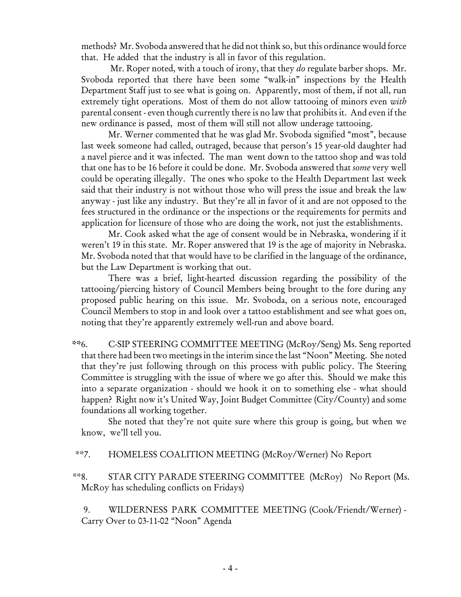methods? Mr. Svoboda answered that he did not think so, but this ordinance would force that. He added that the industry is all in favor of this regulation.

 Mr. Roper noted, with a touch of irony, that they *do* regulate barber shops. Mr. Svoboda reported that there have been some "walk-in" inspections by the Health Department Staff just to see what is going on. Apparently, most of them, if not all, run extremely tight operations. Most of them do not allow tattooing of minors even *with* parental consent - even though currently there is no law that prohibits it. And even if the new ordinance is passed, most of them will still not allow underage tattooing.

Mr. Werner commented that he was glad Mr. Svoboda signified "most", because last week someone had called, outraged, because that person's 15 year-old daughter had a navel pierce and it was infected. The man went down to the tattoo shop and was told that one has to be 16 before it could be done. Mr. Svoboda answered that *some* very well could be operating illegally. The ones who spoke to the Health Department last week said that their industry is not without those who will press the issue and break the law anyway - just like any industry. But they're all in favor of it and are not opposed to the fees structured in the ordinance or the inspections or the requirements for permits and application for licensure of those who are doing the work, not just the establishments.

Mr. Cook asked what the age of consent would be in Nebraska, wondering if it weren't 19 in this state. Mr. Roper answered that 19 is the age of majority in Nebraska. Mr. Svoboda noted that that would have to be clarified in the language of the ordinance, but the Law Department is working that out.

There was a brief, light-hearted discussion regarding the possibility of the tattooing/piercing history of Council Members being brought to the fore during any proposed public hearing on this issue. Mr. Svoboda, on a serious note, encouraged Council Members to stop in and look over a tattoo establishment and see what goes on, noting that they're apparently extremely well-run and above board.

 \*\*6. C-SIP STEERING COMMITTEE MEETING (McRoy/Seng) Ms. Seng reported that there had been two meetings in the interim since the last "Noon" Meeting. She noted that they're just following through on this process with public policy. The Steering Committee is struggling with the issue of where we go after this. Should we make this into a separate organization - should we hook it on to something else - what should happen? Right now it's United Way, Joint Budget Committee (City/County) and some foundations all working together.

She noted that they're not quite sure where this group is going, but when we know, we'll tell you.

\*\*7. HOMELESS COALITION MEETING (McRoy/Werner) No Report

 \*\*8. STAR CITY PARADE STEERING COMMITTEE (McRoy) No Report (Ms. McRoy has scheduling conflicts on Fridays)

 9. WILDERNESS PARK COMMITTEE MEETING (Cook/Friendt/Werner) - Carry Over to 03-11-02 "Noon" Agenda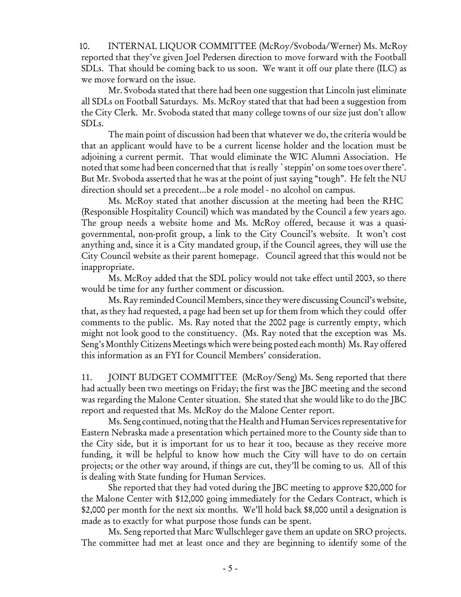10. INTERNAL LIQUOR COMMITTEE (McRoy/Svoboda/Werner) Ms. McRoy reported that they've given Joel Pedersen direction to move forward with the Football SDLs. That should be coming back to us soon. We want it off our plate there (ILC) as we move forward on the issue.

Mr. Svoboda stated that there had been one suggestion that Lincoln just eliminate all SDLs on Football Saturdays. Ms. McRoy stated that that had been a suggestion from the City Clerk. Mr. Svoboda stated that many college towns of our size just don't allow SDLs.

The main point of discussion had been that whatever we do, the criteria would be that an applicant would have to be a current license holder and the location must be adjoining a current permit. That would eliminate the WIC Alumni Association. He noted that some had been concerned that that is really `steppin' on some toes over there'. But Mr. Svoboda asserted that he was at the point of just saying "tough". He felt the NU direction should set a precedent...be a role model - no alcohol on campus.

Ms. McRoy stated that another discussion at the meeting had been the RHC (Responsible Hospitality Council) which was mandated by the Council a few years ago. The group needs a website home and Ms. McRoy offered, because it was a quasigovernmental, non-profit group, a link to the City Council's website. It won't cost anything and, since it is a City mandated group, if the Council agrees, they will use the City Council website as their parent homepage. Council agreed that this would not be inappropriate.

Ms. McRoy added that the SDL policy would not take effect until 2003, so there would be time for any further comment or discussion.

Ms. Ray reminded Council Members, since they were discussing Council's website, that, as they had requested, a page had been set up for them from which they could offer comments to the public. Ms. Ray noted that the 2002 page is currently empty, which might not look good to the constituency. (Ms. Ray noted that the exception was Ms. Seng's Monthly Citizens Meetings which were being posted each month) Ms. Ray offered this information as an FYI for Council Members' consideration.

11. JOINT BUDGET COMMITTEE (McRoy/Seng) Ms. Seng reported that there had actually been two meetings on Friday; the first was the JBC meeting and the second was regarding the Malone Center situation. She stated that she would like to do the JBC report and requested that Ms. McRoy do the Malone Center report.

Ms. Seng continued, noting that the Health and Human Services representative for Eastern Nebraska made a presentation which pertained more to the County side than to the City side, but it is important for us to hear it too, because as they receive more funding, it will be helpful to know how much the City will have to do on certain projects; or the other way around, if things are cut, they'll be coming to us. All of this is dealing with State funding for Human Services.

She reported that they had voted during the JBC meeting to approve \$20,000 for the Malone Center with \$12,000 going immediately for the Cedars Contract, which is \$2,000 per month for the next six months. We'll hold back \$8,000 until a designation is made as to exactly for what purpose those funds can be spent.

Ms. Seng reported that Marc Wullschleger gave them an update on SRO projects. The committee had met at least once and they are beginning to identify some of the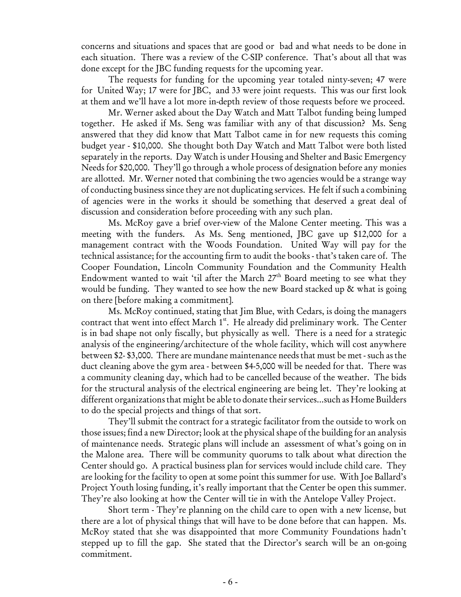concerns and situations and spaces that are good or bad and what needs to be done in each situation. There was a review of the C-SIP conference. That's about all that was done except for the JBC funding requests for the upcoming year.

The requests for funding for the upcoming year totaled ninty-seven; 47 were for United Way; 17 were for JBC, and 33 were joint requests. This was our first look at them and we'll have a lot more in-depth review of those requests before we proceed.

Mr. Werner asked about the Day Watch and Matt Talbot funding being lumped together. He asked if Ms. Seng was familiar with any of that discussion? Ms. Seng answered that they did know that Matt Talbot came in for new requests this coming budget year - \$10,000. She thought both Day Watch and Matt Talbot were both listed separately in the reports. Day Watch is under Housing and Shelter and Basic Emergency Needs for \$20,000. They'll go through a whole process of designation before any monies are allotted. Mr. Werner noted that combining the two agencies would be a strange way of conducting business since they are not duplicating services. He felt if such a combining of agencies were in the works it should be something that deserved a great deal of discussion and consideration before proceeding with any such plan.

Ms. McRoy gave a brief over-view of the Malone Center meeting. This was a meeting with the funders. As Ms. Seng mentioned, JBC gave up \$12,000 for a management contract with the Woods Foundation. United Way will pay for the technical assistance; for the accounting firm to audit the books - that's taken care of. The Cooper Foundation, Lincoln Community Foundation and the Community Health Endowment wanted to wait 'til after the March  $27<sup>th</sup>$  Board meeting to see what they would be funding. They wanted to see how the new Board stacked up & what is going on there [before making a commitment].

Ms. McRoy continued, stating that Jim Blue, with Cedars, is doing the managers contract that went into effect March 1st. He already did preliminary work. The Center is in bad shape not only fiscally, but physically as well. There is a need for a strategic analysis of the engineering/architecture of the whole facility, which will cost anywhere between \$2- \$3,000. There are mundane maintenance needs that must be met - such as the duct cleaning above the gym area - between \$4-5,000 will be needed for that. There was a community cleaning day, which had to be cancelled because of the weather. The bids for the structural analysis of the electrical engineering are being let. They're looking at different organizations that might be able to donate their services...such as Home Builders to do the special projects and things of that sort.

They'll submit the contract for a strategic facilitator from the outside to work on those issues; find a new Director; look at the physical shape of the building for an analysis of maintenance needs. Strategic plans will include an assessment of what's going on in the Malone area. There will be community quorums to talk about what direction the Center should go. A practical business plan for services would include child care. They are looking for the facility to open at some point this summer for use. With Joe Ballard's Project Youth losing funding, it's really important that the Center be open this summer. They're also looking at how the Center will tie in with the Antelope Valley Project.

Short term - They're planning on the child care to open with a new license, but there are a lot of physical things that will have to be done before that can happen. Ms. McRoy stated that she was disappointed that more Community Foundations hadn't stepped up to fill the gap. She stated that the Director's search will be an on-going commitment.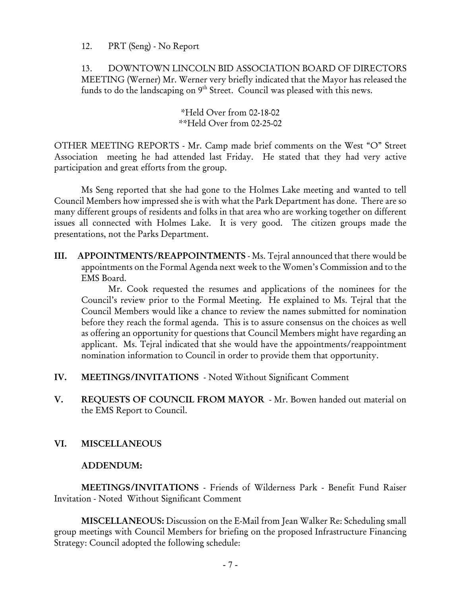12. PRT (Seng) - No Report

13. DOWNTOWN LINCOLN BID ASSOCIATION BOARD OF DIRECTORS MEETING (Werner) Mr. Werner very briefly indicated that the Mayor has released the funds to do the landscaping on  $9<sup>th</sup>$  Street. Council was pleased with this news.

> \*Held Over from 02-18-02 \*\*Held Over from 02-25-02

OTHER MEETING REPORTS - Mr. Camp made brief comments on the West "O" Street Association meeting he had attended last Friday. He stated that they had very active participation and great efforts from the group.

Ms Seng reported that she had gone to the Holmes Lake meeting and wanted to tell Council Members how impressed she is with what the Park Department has done. There are so many different groups of residents and folks in that area who are working together on different issues all connected with Holmes Lake. It is very good. The citizen groups made the presentations, not the Parks Department.

III. APPOINTMENTS/REAPPOINTMENTS - Ms. Tejral announced that there would be appointments on the Formal Agenda next week to the Women's Commission and to the EMS Board.

Mr. Cook requested the resumes and applications of the nominees for the Council's review prior to the Formal Meeting. He explained to Ms. Tejral that the Council Members would like a chance to review the names submitted for nomination before they reach the formal agenda. This is to assure consensus on the choices as well as offering an opportunity for questions that Council Members might have regarding an applicant. Ms. Tejral indicated that she would have the appointments/reappointment nomination information to Council in order to provide them that opportunity.

- IV. MEETINGS/INVITATIONS Noted Without Significant Comment
- V. REQUESTS OF COUNCIL FROM MAYOR Mr. Bowen handed out material on the EMS Report to Council.

# VI. MISCELLANEOUS

#### ADDENDUM:

MEETINGS/INVITATIONS - Friends of Wilderness Park - Benefit Fund Raiser Invitation - Noted Without Significant Comment

MISCELLANEOUS: Discussion on the E-Mail from Jean Walker Re: Scheduling small group meetings with Council Members for briefing on the proposed Infrastructure Financing Strategy: Council adopted the following schedule: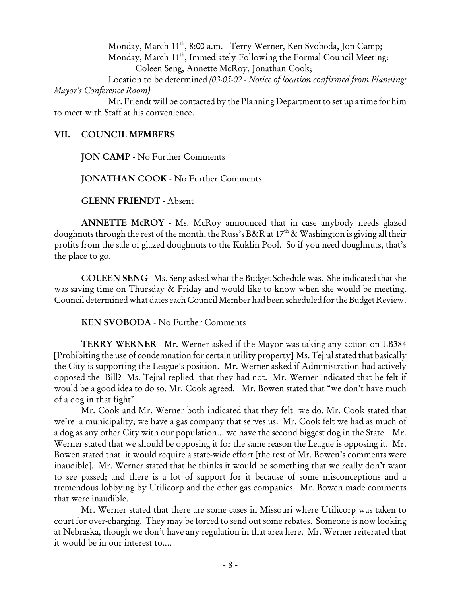Monday, March 11th, 8:00 a.m. - Terry Werner, Ken Svoboda, Jon Camp; Monday, March 11<sup>th</sup>, Immediately Following the Formal Council Meeting: Coleen Seng, Annette McRoy, Jonathan Cook;

Location to be determined *(03-05-02 - Notice of location confirmed from Planning: Mayor's Conference Room)*

Mr. Friendt will be contacted by the Planning Department to set up a time for him to meet with Staff at his convenience.

#### VII. COUNCIL MEMBERS

JON CAMP - No Further Comments

JONATHAN COOK - No Further Comments

GLENN FRIENDT - Absent

ANNETTE McROY - Ms. McRoy announced that in case anybody needs glazed doughnuts through the rest of the month, the Russ's B&R at  $17<sup>th</sup>$  & Washington is giving all their profits from the sale of glazed doughnuts to the Kuklin Pool. So if you need doughnuts, that's the place to go.

COLEEN SENG - Ms. Seng asked what the Budget Schedule was. She indicated that she was saving time on Thursday & Friday and would like to know when she would be meeting. Council determined what dates each Council Member had been scheduled for the Budget Review.

KEN SVOBODA - No Further Comments

TERRY WERNER - Mr. Werner asked if the Mayor was taking any action on LB384 [Prohibiting the use of condemnation for certain utility property] Ms. Tejral stated that basically the City is supporting the League's position. Mr. Werner asked if Administration had actively opposed the Bill? Ms. Tejral replied that they had not. Mr. Werner indicated that he felt if would be a good idea to do so. Mr. Cook agreed. Mr. Bowen stated that "we don't have much of a dog in that fight".

Mr. Cook and Mr. Werner both indicated that they felt we do. Mr. Cook stated that we're a municipality; we have a gas company that serves us. Mr. Cook felt we had as much of a dog as any other City with our population....we have the second biggest dog in the State. Mr. Werner stated that we should be opposing it for the same reason the League is opposing it. Mr. Bowen stated that it would require a state-wide effort [the rest of Mr. Bowen's comments were inaudible]. Mr. Werner stated that he thinks it would be something that we really don't want to see passed; and there is a lot of support for it because of some misconceptions and a tremendous lobbying by Utilicorp and the other gas companies. Mr. Bowen made comments that were inaudible.

Mr. Werner stated that there are some cases in Missouri where Utilicorp was taken to court for over-charging. They may be forced to send out some rebates. Someone is now looking at Nebraska, though we don't have any regulation in that area here. Mr. Werner reiterated that it would be in our interest to....